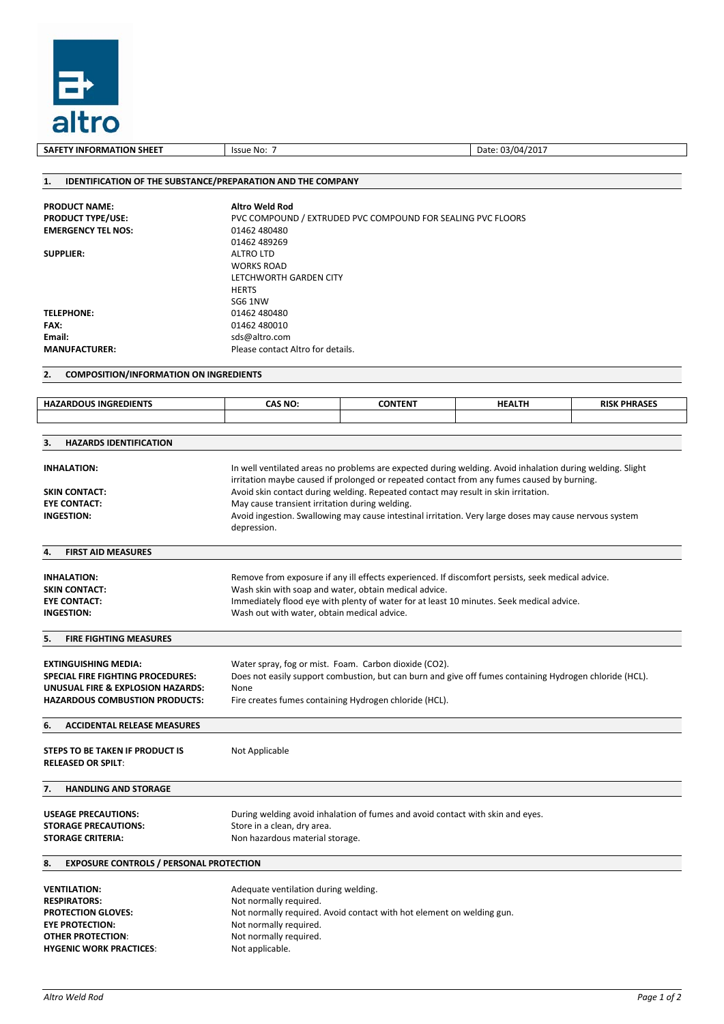

**SAFETY INFORMATION SHEET** ISSUE No: 7 Date: 03/04/2017 **1. IDENTIFICATION OF THE SUBSTANCE/PREPARATION AND THE COMPANY PRODUCT NAME: Altro Weld Rod** PVC COMPOUND / EXTRUDED PVC COMPOUND FOR SEALING PVC FLOORS **EMERGENCY TEL NOS:** 01462 480480 01462 489269 **SUPPLIER:** ALTRO LTD WORKS ROAD LETCHWORTH GARDEN CITY **HERTS** SG6 1NW **TELEPHONE:** 01462 480480 **FAX:** 01462 480010<br> **Email:** complete the state of the state of the state of the state of the state of the state of the state of the state of the state of the state of the state of the state of the state of the state of t **Email:**  $\blacksquare$  sds@altro.com<br> **MANUFACTURER:**  $\blacksquare$  Please contact Please contact Altro for details. **2. COMPOSITION/INFORMATION ON INGREDIENTS 3. HAZARDS IDENTIFICATION INHALATION:** In well ventilated areas no problems are expected during welding. Avoid inhalation during welding. Slight irritation maybe caused if prolonged or repeated contact from any fumes caused by burning. **SKIN CONTACT:** Avoid skin contact during welding. Repeated contact may result in skin irritation. **EYE CONTACT:** May cause transient irritation during welding.<br> **INGESTION:** Avoid ingestion. Swallowing may cause intesting **INGESTION:** Avoid ingestion. Swallowing may cause intestinal irritation. Very large doses may cause nervous system depression. **4. FIRST AID MEASURES INHALATION:** Remove from exposure if any ill effects experienced. If discomfort persists, seek medical advice. **SKIN CONTACT:** Wash skin with soap and water, obtain medical advice. **EYE CONTACT:** Immediately flood eye with plenty of water for at least 10 minutes. Seek medical advice. **INGESTION:** Wash out with water, obtain medical advice. **5. FIRE FIGHTING MEASURES EXTINGUISHING MEDIA:** Water spray, fog or mist. Foam. Carbon dioxide (CO2).<br>**SPECIAL FIRE FIGHTING PROCEDURES:** Does not easily support combustion, but can burn and **SPECIAL FIRE FIGHTING PROCEDURES:** Does not easily support combustion, but can burn and give off fumes containing Hydrogen chloride (HCL). **UNUSUAL FIRE & EXPLOSION HAZARDS:** None<br> **HAZARDOUS COMBUSTION PRODUCTS:** Fire c Fire creates fumes containing Hydrogen chloride (HCL). **6. ACCIDENTAL RELEASE MEASURES STEPS TO BE TAKEN IF PRODUCT IS RELEASED OR SPILT**: Not Applicable **7. HANDLING AND STORAGE USEAGE PRECAUTIONS:** During welding avoid inhalation of fumes and avoid contact with skin and eyes. **STORAGE PRECAUTIONS:** Store in a clean, dry area.<br>**STORAGE CRITERIA:** Non hazardous material store **STORAGE CRITERIA:** Non hazardous material storage. **8. EXPOSURE CONTROLS / PERSONAL PROTECTION VENTILATION:** Adequate ventilation during welding.<br> **RESPIRATORS:** Not normally required. **RESPIRATORS:** Not normally required.<br> **PROTECTION GLOVES:** Not normally required. Not normally required. Avoid contact with hot element on welding gun. **EYE PROTECTION:** Not normally required. **OTHER PROTECTION:** Not normally required. **HYGENIC WORK PRACTICES:** Not applicable. **HAZARDOUS INGREDIENTS CAS NO: CONTENT HEALTH RISK PHRASES**